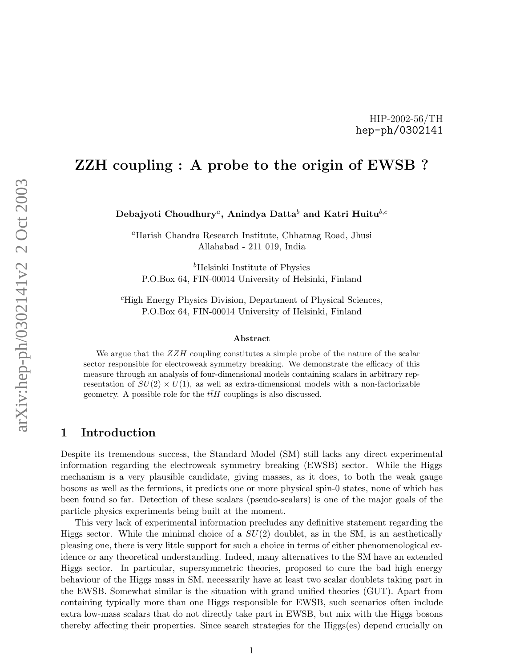### HIP-2002-56/TH hep-ph/0302141

# ZZH coupling : A probe to the origin of EWSB ?

Debajyoti Choudhury ${}^a,$  Anindya Datta ${}^b$  and Katri Huitu ${}^{b,c}$ 

<sup>a</sup>Harish Chandra Research Institute, Chhatnag Road, Jhusi Allahabad - 211 019, India

 $b$ Helsinki Institute of Physics P.O.Box 64, FIN-00014 University of Helsinki, Finland

<sup>c</sup>High Energy Physics Division, Department of Physical Sciences, P.O.Box 64, FIN-00014 University of Helsinki, Finland

#### Abstract

We argue that the  $ZZH$  coupling constitutes a simple probe of the nature of the scalar sector responsible for electroweak symmetry breaking. We demonstrate the efficacy of this measure through an analysis of four-dimensional models containing scalars in arbitrary representation of  $SU(2) \times U(1)$ , as well as extra-dimensional models with a non-factorizable geometry. A possible role for the  $t\bar{t}H$  couplings is also discussed.

### 1 Introduction

Despite its tremendous success, the Standard Model (SM) still lacks any direct experimental information regarding the electroweak symmetry breaking (EWSB) sector. While the Higgs mechanism is a very plausible candidate, giving masses, as it does, to both the weak gauge bosons as well as the fermions, it predicts one or more physical spin-0 states, none of which has been found so far. Detection of these scalars (pseudo-scalars) is one of the major goals of the particle physics experiments being built at the moment.

This very lack of experimental information precludes any definitive statement regarding the Higgs sector. While the minimal choice of a  $SU(2)$  doublet, as in the SM, is an aesthetically pleasing one, there is very little support for such a choice in terms of either phenomenological evidence or any theoretical understanding. Indeed, many alternatives to the SM have an extended Higgs sector. In particular, supersymmetric theories, proposed to cure the bad high energy behaviour of the Higgs mass in SM, necessarily have at least two scalar doublets taking part in the EWSB. Somewhat similar is the situation with grand unified theories (GUT). Apart from containing typically more than one Higgs responsible for EWSB, such scenarios often include extra low-mass scalars that do not directly take part in EWSB, but mix with the Higgs bosons thereby affecting their properties. Since search strategies for the Higgs(es) depend crucially on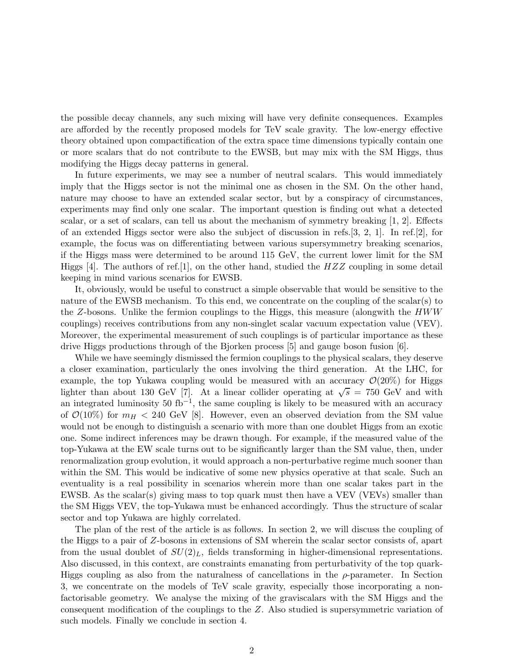the possible decay channels, any such mixing will have very definite consequences. Examples are afforded by the recently proposed models for TeV scale gravity. The low-energy effective theory obtained upon compactification of the extra space time dimensions typically contain one or more scalars that do not contribute to the EWSB, but may mix with the SM Higgs, thus modifying the Higgs decay patterns in general.

In future experiments, we may see a number of neutral scalars. This would immediately imply that the Higgs sector is not the minimal one as chosen in the SM. On the other hand, nature may choose to have an extended scalar sector, but by a conspiracy of circumstances, experiments may find only one scalar. The important question is finding out what a detected scalar, or a set of scalars, can tell us about the mechanism of symmetry breaking [1, 2]. Effects of an extended Higgs sector were also the subject of discussion in refs.[3, 2, 1]. In ref.[2], for example, the focus was on differentiating between various supersymmetry breaking scenarios, if the Higgs mass were determined to be around 115 GeV, the current lower limit for the SM Higgs  $[4]$ . The authors of ref. [1], on the other hand, studied the  $HZZ$  coupling in some detail keeping in mind various scenarios for EWSB.

It, obviously, would be useful to construct a simple observable that would be sensitive to the nature of the EWSB mechanism. To this end, we concentrate on the coupling of the scalar(s) to the Z-bosons. Unlike the fermion couplings to the Higgs, this measure (alongwith the  $HWW$ couplings) receives contributions from any non-singlet scalar vacuum expectation value (VEV). Moreover, the experimental measurement of such couplings is of particular importance as these drive Higgs productions through of the Bjorken process [5] and gauge boson fusion [6].

While we have seemingly dismissed the fermion couplings to the physical scalars, they deserve a closer examination, particularly the ones involving the third generation. At the LHC, for example, the top Yukawa coupling would be measured with an accuracy  $\mathcal{O}(20\%)$  for Higgs lighter than about 130 GeV [7]. At a linear collider operating at  $\sqrt{s} = 750$  GeV and with an integrated luminosity 50 fb<sup>-1</sup>, the same coupling is likely to be measured with an accuracy of  $\mathcal{O}(10\%)$  for  $m_H < 240$  GeV [8]. However, even an observed deviation from the SM value would not be enough to distinguish a scenario with more than one doublet Higgs from an exotic one. Some indirect inferences may be drawn though. For example, if the measured value of the top-Yukawa at the EW scale turns out to be significantly larger than the SM value, then, under renormalization group evolution, it would approach a non-perturbative regime much sooner than within the SM. This would be indicative of some new physics operative at that scale. Such an eventuality is a real possibility in scenarios wherein more than one scalar takes part in the EWSB. As the scalar(s) giving mass to top quark must then have a VEV (VEVs) smaller than the SM Higgs VEV, the top-Yukawa must be enhanced accordingly. Thus the structure of scalar sector and top Yukawa are highly correlated.

The plan of the rest of the article is as follows. In section 2, we will discuss the coupling of the Higgs to a pair of Z-bosons in extensions of SM wherein the scalar sector consists of, apart from the usual doublet of  $SU(2)_L$ , fields transforming in higher-dimensional representations. Also discussed, in this context, are constraints emanating from perturbativity of the top quark-Higgs coupling as also from the naturalness of cancellations in the  $\rho$ -parameter. In Section 3, we concentrate on the models of TeV scale gravity, especially those incorporating a nonfactorisable geometry. We analyse the mixing of the graviscalars with the SM Higgs and the consequent modification of the couplings to the Z. Also studied is supersymmetric variation of such models. Finally we conclude in section 4.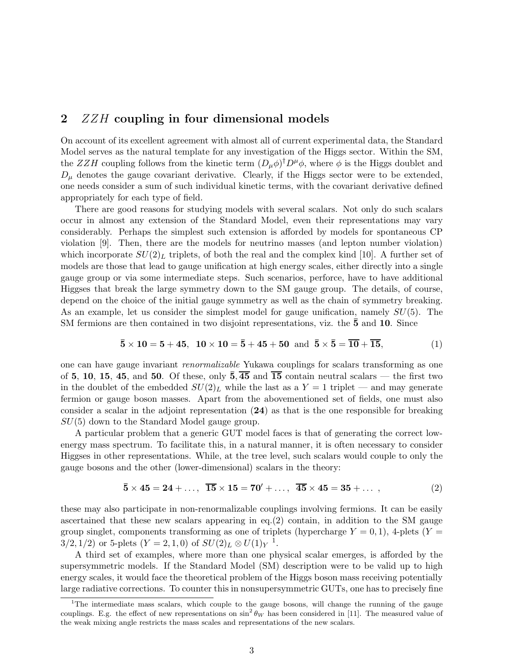# 2 *ZZH* coupling in four dimensional models

On account of its excellent agreement with almost all of current experimental data, the Standard Model serves as the natural template for any investigation of the Higgs sector. Within the SM, the ZZH coupling follows from the kinetic term  $(D_{\mu}\phi)^{\dagger}D^{\mu}\phi$ , where  $\phi$  is the Higgs doublet and  $D_{\mu}$  denotes the gauge covariant derivative. Clearly, if the Higgs sector were to be extended, one needs consider a sum of such individual kinetic terms, with the covariant derivative defined appropriately for each type of field.

There are good reasons for studying models with several scalars. Not only do such scalars occur in almost any extension of the Standard Model, even their representations may vary considerably. Perhaps the simplest such extension is afforded by models for spontaneous CP violation [9]. Then, there are the models for neutrino masses (and lepton number violation) which incorporate  $SU(2)_L$  triplets, of both the real and the complex kind [10]. A further set of models are those that lead to gauge unification at high energy scales, either directly into a single gauge group or via some intermediate steps. Such scenarios, perforce, have to have additional Higgses that break the large symmetry down to the SM gauge group. The details, of course, depend on the choice of the initial gauge symmetry as well as the chain of symmetry breaking. As an example, let us consider the simplest model for gauge unification, namely  $SU(5)$ . The SM fermions are then contained in two disjoint representations, viz. the 5 and 10. Since

$$
\overline{5} \times 10 = 5 + 45, \ \ 10 \times 10 = \overline{5} + 45 + 50 \ \ \text{and} \ \ \overline{5} \times \overline{5} = \overline{10} + \overline{15}, \tag{1}
$$

one can have gauge invariant renormalizable Yukawa couplings for scalars transforming as one of 5, 10, 15, 45, and 50. Of these, only  $\overline{5}, \overline{45}$  and  $\overline{15}$  contain neutral scalars — the first two in the doublet of the embedded  $SU(2)_L$  while the last as a  $Y = 1$  triplet — and may generate fermion or gauge boson masses. Apart from the abovementioned set of fields, one must also consider a scalar in the adjoint representation (24) as that is the one responsible for breaking  $SU(5)$  down to the Standard Model gauge group.

A particular problem that a generic GUT model faces is that of generating the correct lowenergy mass spectrum. To facilitate this, in a natural manner, it is often necessary to consider Higgses in other representations. While, at the tree level, such scalars would couple to only the gauge bosons and the other (lower-dimensional) scalars in the theory:

$$
\overline{5} \times 45 = 24 + \dots, \ \overline{15} \times 15 = 70' + \dots, \ \overline{45} \times 45 = 35 + \dots,
$$
 (2)

these may also participate in non-renormalizable couplings involving fermions. It can be easily ascertained that these new scalars appearing in eq.(2) contain, in addition to the SM gauge group singlet, components transforming as one of triplets (hypercharge  $Y = 0, 1$ ), 4-plets (Y  $3/2, 1/2$  or 5-plets  $(Y = 2, 1, 0)$  of  $SU(2)_L \otimes U(1)_Y$ <sup>1</sup>.

A third set of examples, where more than one physical scalar emerges, is afforded by the supersymmetric models. If the Standard Model (SM) description were to be valid up to high energy scales, it would face the theoretical problem of the Higgs boson mass receiving potentially large radiative corrections. To counter this in nonsupersymmetric GUTs, one has to precisely fine

<sup>&</sup>lt;sup>1</sup>The intermediate mass scalars, which couple to the gauge bosons, will change the running of the gauge couplings. E.g. the effect of new representations on  $\sin^2 \theta_W$  has been considered in [11]. The measured value of the weak mixing angle restricts the mass scales and representations of the new scalars.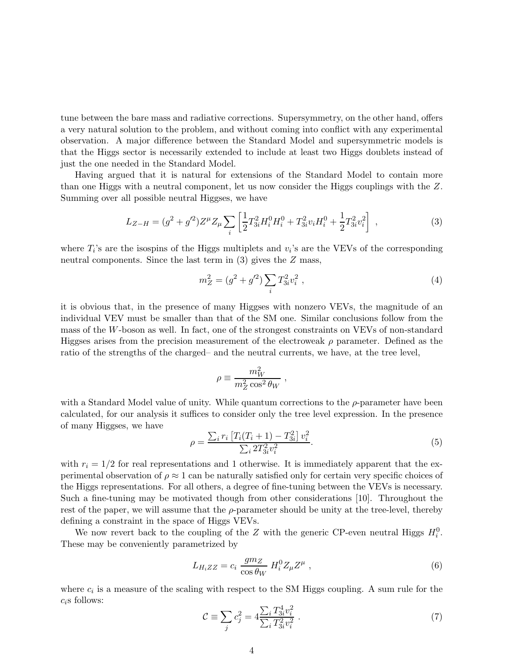tune between the bare mass and radiative corrections. Supersymmetry, on the other hand, offers a very natural solution to the problem, and without coming into conflict with any experimental observation. A major difference between the Standard Model and supersymmetric models is that the Higgs sector is necessarily extended to include at least two Higgs doublets instead of just the one needed in the Standard Model.

Having argued that it is natural for extensions of the Standard Model to contain more than one Higgs with a neutral component, let us now consider the Higgs couplings with the Z. Summing over all possible neutral Higgses, we have

$$
L_{Z-H} = (g^2 + g'^2)Z^{\mu} Z_{\mu} \sum_{i} \left[ \frac{1}{2} T_{3i}^2 H_i^0 H_i^0 + T_{3i}^2 v_i H_i^0 + \frac{1}{2} T_{3i}^2 v_i^2 \right] , \qquad (3)
$$

where  $T_i$ 's are the isospins of the Higgs multiplets and  $v_i$ 's are the VEVs of the corresponding neutral components. Since the last term in (3) gives the Z mass,

$$
m_Z^2 = (g^2 + g'^2) \sum_i T_{3i}^2 v_i^2 , \qquad (4)
$$

it is obvious that, in the presence of many Higgses with nonzero VEVs, the magnitude of an individual VEV must be smaller than that of the SM one. Similar conclusions follow from the mass of the W-boson as well. In fact, one of the strongest constraints on VEVs of non-standard Higgses arises from the precision measurement of the electroweak  $\rho$  parameter. Defined as the ratio of the strengths of the charged– and the neutral currents, we have, at the tree level,

$$
\rho \equiv \frac{m_W^2}{m_Z^2 \cos^2 \theta_W} \; ,
$$

with a Standard Model value of unity. While quantum corrections to the  $\rho$ -parameter have been calculated, for our analysis it suffices to consider only the tree level expression. In the presence of many Higgses, we have

$$
\rho = \frac{\sum_{i} r_i \left[ T_i (T_i + 1) - T_{3i}^2 \right] v_i^2}{\sum_{i} 2 T_{3i}^2 v_i^2}.
$$
\n(5)

with  $r_i = 1/2$  for real representations and 1 otherwise. It is immediately apparent that the experimental observation of  $\rho \approx 1$  can be naturally satisfied only for certain very specific choices of the Higgs representations. For all others, a degree of fine-tuning between the VEVs is necessary. Such a fine-tuning may be motivated though from other considerations [10]. Throughout the rest of the paper, we will assume that the  $\rho$ -parameter should be unity at the tree-level, thereby defining a constraint in the space of Higgs VEVs.

We now revert back to the coupling of the Z with the generic CP-even neutral Higgs  $H_i^0$ . These may be conveniently parametrized by

$$
L_{H_iZZ} = c_i \frac{gm_Z}{\cos \theta_W} H_i^0 Z_\mu Z^\mu , \qquad (6)
$$

where  $c_i$  is a measure of the scaling with respect to the SM Higgs coupling. A sum rule for the  $c_i$ s follows:

$$
\mathcal{C} \equiv \sum_{j} c_j^2 = 4 \frac{\sum_{i} T_{3i}^4 v_i^2}{\sum_{i} T_{3i}^2 v_i^2} \,. \tag{7}
$$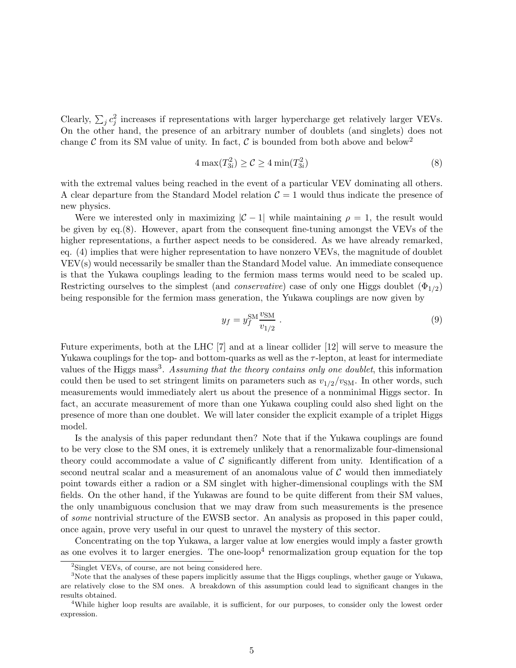Clearly,  $\sum_j c_j^2$  increases if representations with larger hypercharge get relatively larger VEVs. On the other hand, the presence of an arbitrary number of doublets (and singlets) does not change  $\mathcal C$  from its SM value of unity. In fact,  $\mathcal C$  is bounded from both above and below<sup>2</sup>

$$
4\max(T_{3i}^2) \ge \mathcal{C} \ge 4\min(T_{3i}^2)
$$
\n
$$
(8)
$$

with the extremal values being reached in the event of a particular VEV dominating all others. A clear departure from the Standard Model relation  $\mathcal{C} = 1$  would thus indicate the presence of new physics.

Were we interested only in maximizing  $|\mathcal{C} - 1|$  while maintaining  $\rho = 1$ , the result would be given by eq.(8). However, apart from the consequent fine-tuning amongst the VEVs of the higher representations, a further aspect needs to be considered. As we have already remarked, eq. (4) implies that were higher representation to have nonzero VEVs, the magnitude of doublet VEV(s) would necessarily be smaller than the Standard Model value. An immediate consequence is that the Yukawa couplings leading to the fermion mass terms would need to be scaled up. Restricting ourselves to the simplest (and *conservative*) case of only one Higgs doublet  $(\Phi_{1/2})$ being responsible for the fermion mass generation, the Yukawa couplings are now given by

$$
y_f = y_f^{\text{SM}} \frac{v_{\text{SM}}}{v_{1/2}} \tag{9}
$$

Future experiments, both at the LHC [7] and at a linear collider [12] will serve to measure the Yukawa couplings for the top- and bottom-quarks as well as the  $\tau$ -lepton, at least for intermediate values of the Higgs mass<sup>3</sup>. Assuming that the theory contains only one doublet, this information could then be used to set stringent limits on parameters such as  $v_{1/2}/v_{\text{SM}}$ . In other words, such measurements would immediately alert us about the presence of a nonminimal Higgs sector. In fact, an accurate measurement of more than one Yukawa coupling could also shed light on the presence of more than one doublet. We will later consider the explicit example of a triplet Higgs model.

Is the analysis of this paper redundant then? Note that if the Yukawa couplings are found to be very close to the SM ones, it is extremely unlikely that a renormalizable four-dimensional theory could accommodate a value of  $\mathcal C$  significantly different from unity. Identification of a second neutral scalar and a measurement of an anomalous value of  $\mathcal C$  would then immediately point towards either a radion or a SM singlet with higher-dimensional couplings with the SM fields. On the other hand, if the Yukawas are found to be quite different from their SM values, the only unambiguous conclusion that we may draw from such measurements is the presence of some nontrivial structure of the EWSB sector. An analysis as proposed in this paper could, once again, prove very useful in our quest to unravel the mystery of this sector.

Concentrating on the top Yukawa, a larger value at low energies would imply a faster growth as one evolves it to larger energies. The one-loop<sup>4</sup> renormalization group equation for the top

<sup>2</sup> Singlet VEVs, of course, are not being considered here.

<sup>&</sup>lt;sup>3</sup>Note that the analyses of these papers implicitly assume that the Higgs couplings, whether gauge or Yukawa, are relatively close to the SM ones. A breakdown of this assumption could lead to significant changes in the results obtained.

<sup>4</sup>While higher loop results are available, it is sufficient, for our purposes, to consider only the lowest order expression.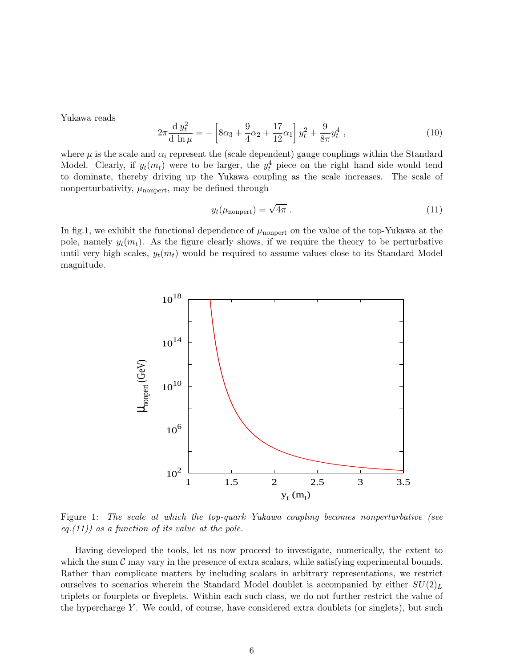Yukawa reads

$$
2\pi \frac{d y_t^2}{d \ln \mu} = -\left[ 8\alpha_3 + \frac{9}{4}\alpha_2 + \frac{17}{12}\alpha_1 \right] y_t^2 + \frac{9}{8\pi} y_t^4 , \qquad (10)
$$

where  $\mu$  is the scale and  $\alpha_i$  represent the (scale dependent) gauge couplings within the Standard Model. Clearly, if  $y_t(m_t)$  were to be larger, the  $y_t^4$  piece on the right hand side would tend to dominate, thereby driving up the Yukawa coupling as the scale increases. The scale of nonperturbativity,  $\mu_{\text{nonpert}}$ , may be defined through

$$
y_t(\mu_{\text{nonpert}}) = \sqrt{4\pi} \tag{11}
$$

In fig.1, we exhibit the functional dependence of  $\mu_{\text{nonpert}}$  on the value of the top-Yukawa at the pole, namely  $y_t(m_t)$ . As the figure clearly shows, if we require the theory to be perturbative until very high scales,  $y_t(m_t)$  would be required to assume values close to its Standard Model magnitude.



Figure 1: The scale at which the top-quark Yukawa coupling becomes nonperturbative (see eq. $(11)$  as a function of its value at the pole.

Having developed the tools, let us now proceed to investigate, numerically, the extent to which the sum  $C$  may vary in the presence of extra scalars, while satisfying experimental bounds. Rather than complicate matters by including scalars in arbitrary representations, we restrict ourselves to scenarios wherein the Standard Model doublet is accompanied by either  $SU(2)_L$ triplets or fourplets or fiveplets. Within each such class, we do not further restrict the value of the hypercharge  $Y$ . We could, of course, have considered extra doublets (or singlets), but such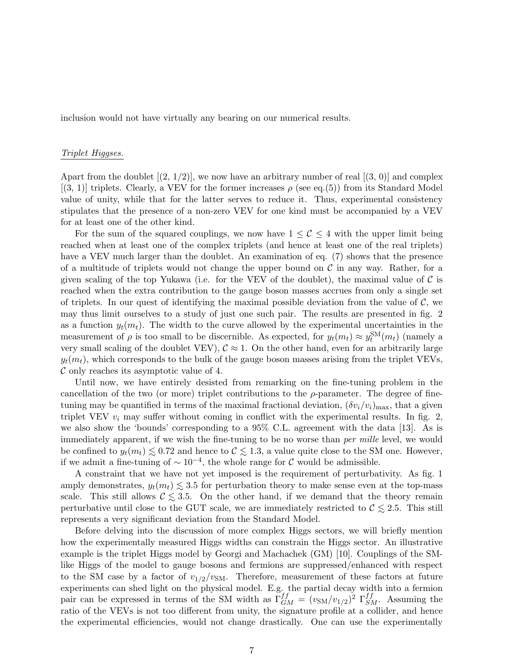inclusion would not have virtually any bearing on our numerical results.

#### Triplet Higgses.

Apart from the doublet  $(2, 1/2)$ , we now have an arbitrary number of real  $[(3, 0)]$  and complex  $[(3, 1)]$  triplets. Clearly, a VEV for the former increases  $\rho$  (see eq.(5)) from its Standard Model value of unity, while that for the latter serves to reduce it. Thus, experimental consistency stipulates that the presence of a non-zero VEV for one kind must be accompanied by a VEV for at least one of the other kind.

For the sum of the squared couplings, we now have  $1 \leq C \leq 4$  with the upper limit being reached when at least one of the complex triplets (and hence at least one of the real triplets) have a VEV much larger than the doublet. An examination of eq. (7) shows that the presence of a multitude of triplets would not change the upper bound on  $\mathcal C$  in any way. Rather, for a given scaling of the top Yukawa (i.e. for the VEV of the doublet), the maximal value of  $\mathcal C$  is reached when the extra contribution to the gauge boson masses accrues from only a single set of triplets. In our quest of identifying the maximal possible deviation from the value of  $\mathcal{C}$ , we may thus limit ourselves to a study of just one such pair. The results are presented in fig. 2 as a function  $y_t(m_t)$ . The width to the curve allowed by the experimental uncertainties in the measurement of  $\rho$  is too small to be discernible. As expected, for  $y_t(m_t) \approx y_t^{SM}(m_t)$  (namely a very small scaling of the doublet VEV),  $\mathcal{C} \approx 1$ . On the other hand, even for an arbitrarily large  $y_t(m_t)$ , which corresponds to the bulk of the gauge boson masses arising from the triplet VEVs,  $\mathcal C$  only reaches its asymptotic value of 4.

Until now, we have entirely desisted from remarking on the fine-tuning problem in the cancellation of the two (or more) triplet contributions to the  $\rho$ -parameter. The degree of finetuning may be quantified in terms of the maximal fractional deviation,  $(\delta v_i/v_i)_{\text{max}}$ , that a given triplet VEV  $v_i$  may suffer without coming in conflict with the experimental results. In fig. 2, we also show the 'bounds' corresponding to a 95% C.L. agreement with the data [13]. As is immediately apparent, if we wish the fine-tuning to be no worse than *per mille* level, we would be confined to  $y_t(m_t) \leq 0.72$  and hence to  $\mathcal{C} \leq 1.3$ , a value quite close to the SM one. However, if we admit a fine-tuning of  $\sim 10^{-4}$ , the whole range for C would be admissible.

A constraint that we have not yet imposed is the requirement of perturbativity. As fig. 1 amply demonstrates,  $y_t(m_t) \leq 3.5$  for perturbation theory to make sense even at the top-mass scale. This still allows  $\mathcal{C} \lesssim 3.5$ . On the other hand, if we demand that the theory remain perturbative until close to the GUT scale, we are immediately restricted to  $\mathcal{C} \leq 2.5$ . This still represents a very significant deviation from the Standard Model.

Before delving into the discussion of more complex Higgs sectors, we will briefly mention how the experimentally measured Higgs widths can constrain the Higgs sector. An illustrative example is the triplet Higgs model by Georgi and Machachek (GM) [10]. Couplings of the SMlike Higgs of the model to gauge bosons and fermions are suppressed/enhanced with respect to the SM case by a factor of  $v_{1/2}/v_{\text{SM}}$ . Therefore, measurement of these factors at future experiments can shed light on the physical model. E.g. the partial decay width into a fermion pair can be expressed in terms of the SM width as  $\Gamma_{GM}^{ff} = (v_{\rm SM}/v_{1/2})^2 \Gamma_{SM}^{ff}$ . Assuming the ratio of the VEVs is not too different from unity, the signature profile at a collider, and hence the experimental efficiencies, would not change drastically. One can use the experimentally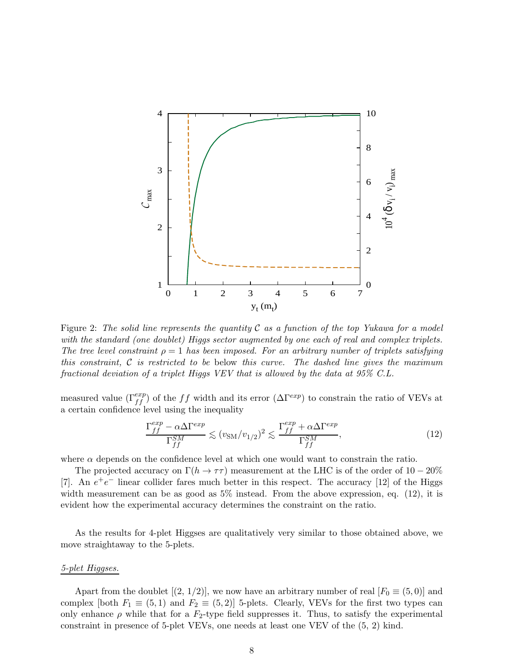

Figure 2: The solid line represents the quantity  $\mathcal C$  as a function of the top Yukawa for a model with the standard (one doublet) Higgs sector augmented by one each of real and complex triplets. The tree level constraint  $\rho = 1$  has been imposed. For an arbitrary number of triplets satisfying this constraint,  $\mathcal C$  is restricted to be below this curve. The dashed line gives the maximum fractional deviation of a triplet Higgs VEV that is allowed by the data at 95% C.L.

measured value  $(\Gamma_{ff}^{exp})$  of the ff width and its error  $(\Delta \Gamma^{exp})$  to constrain the ratio of VEVs at a certain confidence level using the inequality

$$
\frac{\Gamma_{ff}^{exp} - \alpha \Delta \Gamma^{exp}}{\Gamma_{ff}^{SM}} \lesssim (v_{\rm SM}/v_{1/2})^2 \lesssim \frac{\Gamma_{ff}^{exp} + \alpha \Delta \Gamma^{exp}}{\Gamma_{ff}^{SM}},\tag{12}
$$

where  $\alpha$  depends on the confidence level at which one would want to constrain the ratio.

The projected accuracy on  $\Gamma(h \to \tau\tau)$  measurement at the LHC is of the order of 10 − 20% [7]. An  $e^+e^-$  linear collider fares much better in this respect. The accuracy [12] of the Higgs width measurement can be as good as  $5\%$  instead. From the above expression, eq. (12), it is evident how the experimental accuracy determines the constraint on the ratio.

As the results for 4-plet Higgses are qualitatively very similar to those obtained above, we move straightaway to the 5-plets.

#### 5-plet Higgses.

Apart from the doublet  $[(2, 1/2)]$ , we now have an arbitrary number of real  $[F_0 \equiv (5, 0)]$  and complex [both  $F_1 \equiv (5,1)$  and  $F_2 \equiv (5,2)$ ] 5-plets. Clearly, VEVs for the first two types can only enhance  $\rho$  while that for a  $F_2$ -type field suppresses it. Thus, to satisfy the experimental constraint in presence of 5-plet VEVs, one needs at least one VEV of the (5, 2) kind.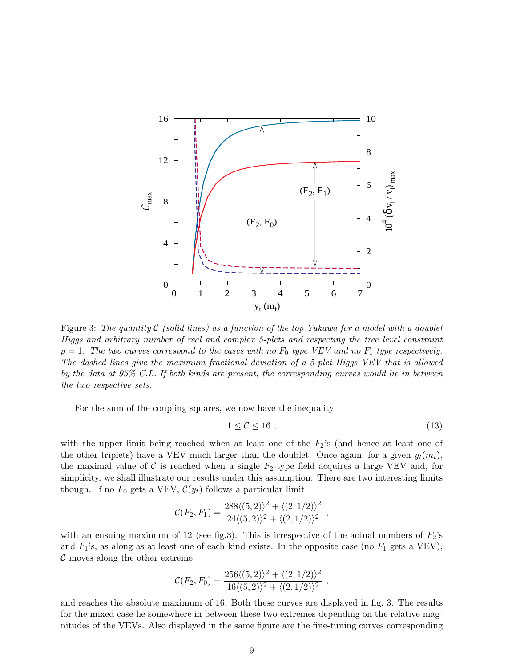

Figure 3: The quantity  $\mathcal C$  (solid lines) as a function of the top Yukawa for a model with a doublet Higgs and arbitrary number of real and complex 5-plets and respecting the tree level constraint  $\rho = 1$ . The two curves correspond to the cases with no  $F_0$  type VEV and no  $F_1$  type respectively. The dashed lines give the maximum fractional deviation of a 5-plet Higgs VEV that is allowed by the data at 95% C.L. If both kinds are present, the corresponding curves would lie in between the two respective sets.

For the sum of the coupling squares, we now have the inequality

$$
1 \leq \mathcal{C} \leq 16 \tag{13}
$$

with the upper limit being reached when at least one of the  $F_2$ 's (and hence at least one of the other triplets) have a VEV much larger than the doublet. Once again, for a given  $y_t(m_t)$ , the maximal value of C is reached when a single  $F_2$ -type field acquires a large VEV and, for simplicity, we shall illustrate our results under this assumption. There are two interesting limits though. If no  $F_0$  gets a VEV,  $\mathcal{C}(y_t)$  follows a particular limit

$$
\mathcal{C}(F_2,F_1) = \frac{288\langle (5,2)\rangle^2 + \langle (2,1/2)\rangle^2}{24\langle (5,2)\rangle^2 + \langle (2,1/2)\rangle^2},
$$

with an ensuing maximum of 12 (see fig.3). This is irrespective of the actual numbers of  $F_2$ 's and  $F_1$ 's, as along as at least one of each kind exists. In the opposite case (no  $F_1$  gets a VEV), C moves along the other extreme

$$
\mathcal{C}(F_2, F_0) = \frac{256 \langle (5,2) \rangle^2 + \langle (2,1/2) \rangle^2}{16 \langle (5,2) \rangle^2 + \langle (2,1/2) \rangle^2},
$$

and reaches the absolute maximum of 16. Both these curves are displayed in fig. 3. The results for the mixed case lie somewhere in between these two extremes depending on the relative magnitudes of the VEVs. Also displayed in the same figure are the fine-tuning curves corresponding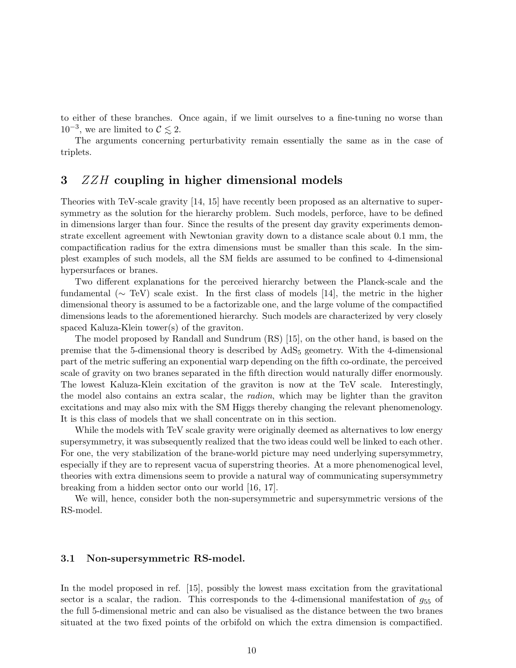to either of these branches. Once again, if we limit ourselves to a fine-tuning no worse than  $10^{-3}$ , we are limited to  $\mathcal{C} \lesssim 2$ .<br>The examples experiments

The arguments concerning perturbativity remain essentially the same as in the case of triplets.

# 3 ZZH coupling in higher dimensional models

Theories with TeV-scale gravity [14, 15] have recently been proposed as an alternative to supersymmetry as the solution for the hierarchy problem. Such models, perforce, have to be defined in dimensions larger than four. Since the results of the present day gravity experiments demonstrate excellent agreement with Newtonian gravity down to a distance scale about 0.1 mm, the compactification radius for the extra dimensions must be smaller than this scale. In the simplest examples of such models, all the SM fields are assumed to be confined to 4-dimensional hypersurfaces or branes.

Two different explanations for the perceived hierarchy between the Planck-scale and the fundamental ( $\sim$  TeV) scale exist. In the first class of models [14], the metric in the higher dimensional theory is assumed to be a factorizable one, and the large volume of the compactified dimensions leads to the aforementioned hierarchy. Such models are characterized by very closely spaced Kaluza-Klein tower(s) of the graviton.

The model proposed by Randall and Sundrum (RS) [15], on the other hand, is based on the premise that the 5-dimensional theory is described by AdS<sup>5</sup> geometry. With the 4-dimensional part of the metric suffering an exponential warp depending on the fifth co-ordinate, the perceived scale of gravity on two branes separated in the fifth direction would naturally differ enormously. The lowest Kaluza-Klein excitation of the graviton is now at the TeV scale. Interestingly, the model also contains an extra scalar, the radion, which may be lighter than the graviton excitations and may also mix with the SM Higgs thereby changing the relevant phenomenology. It is this class of models that we shall concentrate on in this section.

While the models with TeV scale gravity were originally deemed as alternatives to low energy supersymmetry, it was subsequently realized that the two ideas could well be linked to each other. For one, the very stabilization of the brane-world picture may need underlying supersymmetry, especially if they are to represent vacua of superstring theories. At a more phenomenogical level, theories with extra dimensions seem to provide a natural way of communicating supersymmetry breaking from a hidden sector onto our world [16, 17].

We will, hence, consider both the non-supersymmetric and supersymmetric versions of the RS-model.

#### 3.1 Non-supersymmetric RS-model.

In the model proposed in ref. [15], possibly the lowest mass excitation from the gravitational sector is a scalar, the radion. This corresponds to the 4-dimensional manifestation of  $g_{55}$  of the full 5-dimensional metric and can also be visualised as the distance between the two branes situated at the two fixed points of the orbifold on which the extra dimension is compactified.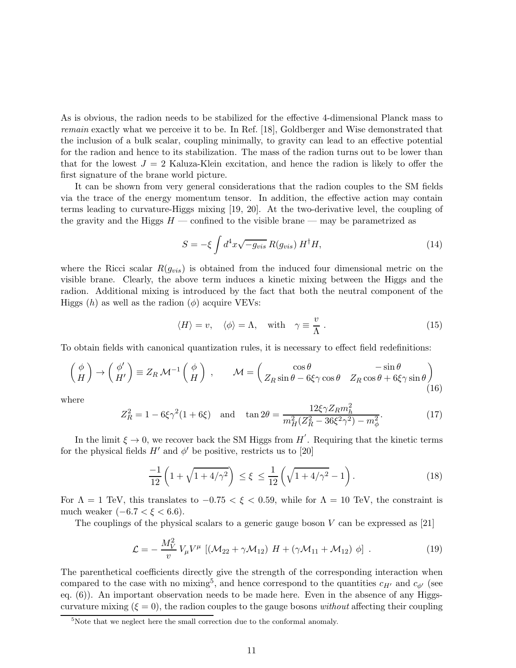As is obvious, the radion needs to be stabilized for the effective 4-dimensional Planck mass to remain exactly what we perceive it to be. In Ref. [18], Goldberger and Wise demonstrated that the inclusion of a bulk scalar, coupling minimally, to gravity can lead to an effective potential for the radion and hence to its stabilization. The mass of the radion turns out to be lower than that for the lowest  $J = 2$  Kaluza-Klein excitation, and hence the radion is likely to offer the first signature of the brane world picture.

It can be shown from very general considerations that the radion couples to the SM fields via the trace of the energy momentum tensor. In addition, the effective action may contain terms leading to curvature-Higgs mixing [19, 20]. At the two-derivative level, the coupling of the gravity and the Higgs  $H$  — confined to the visible brane — may be parametrized as

$$
S = -\xi \int d^4x \sqrt{-g_{vis}} R(g_{vis}) H^{\dagger} H,
$$
\n(14)

where the Ricci scalar  $R(g_{vis})$  is obtained from the induced four dimensional metric on the visible brane. Clearly, the above term induces a kinetic mixing between the Higgs and the radion. Additional mixing is introduced by the fact that both the neutral component of the Higgs  $(h)$  as well as the radion  $(\phi)$  acquire VEVs:

$$
\langle H \rangle = v, \quad \langle \phi \rangle = \Lambda, \quad \text{with} \quad \gamma \equiv \frac{v}{\Lambda} \,. \tag{15}
$$

To obtain fields with canonical quantization rules, it is necessary to effect field redefinitions:

$$
\begin{pmatrix} \phi \\ H \end{pmatrix} \rightarrow \begin{pmatrix} \phi' \\ H' \end{pmatrix} \equiv Z_R \mathcal{M}^{-1} \begin{pmatrix} \phi \\ H \end{pmatrix} , \qquad \mathcal{M} = \begin{pmatrix} \cos \theta & -\sin \theta \\ Z_R \sin \theta - 6\xi\gamma \cos \theta & Z_R \cos \theta + 6\xi\gamma \sin \theta \end{pmatrix}
$$
(16)

where

$$
Z_R^2 = 1 - 6\xi\gamma^2(1 + 6\xi) \quad \text{and} \quad \tan 2\theta = \frac{12\xi\gamma Z_R m_h^2}{m_H^2(Z_R^2 - 36\xi^2\gamma^2) - m_\phi^2}.\tag{17}
$$

In the limit  $\xi \to 0$ , we recover back the SM Higgs from  $H'$ . Requiring that the kinetic terms for the physical fields  $H'$  and  $\phi'$  be positive, restricts us to [20]

$$
\frac{-1}{12} \left( 1 + \sqrt{1 + 4/\gamma^2} \right) \le \xi \le \frac{1}{12} \left( \sqrt{1 + 4/\gamma^2} - 1 \right). \tag{18}
$$

For  $\Lambda = 1$  TeV, this translates to  $-0.75 < \xi < 0.59$ , while for  $\Lambda = 10$  TeV, the constraint is much weaker  $(-6.7 < \xi < 6.6)$ .

The couplings of the physical scalars to a generic gauge boson  $V$  can be expressed as [21]

$$
\mathcal{L} = -\frac{M_V^2}{v} V_\mu V^\mu \left[ (\mathcal{M}_{22} + \gamma \mathcal{M}_{12}) H + (\gamma \mathcal{M}_{11} + \mathcal{M}_{12}) \phi \right] . \tag{19}
$$

The parenthetical coefficients directly give the strength of the corresponding interaction when compared to the case with no mixing<sup>5</sup>, and hence correspond to the quantities  $c_{H'}$  and  $c_{\phi'}$  (see eq. (6)). An important observation needs to be made here. Even in the absence of any Higgscurvature mixing  $(\xi = 0)$ , the radion couples to the gauge bosons *without* affecting their coupling

<sup>&</sup>lt;sup>5</sup>Note that we neglect here the small correction due to the conformal anomaly.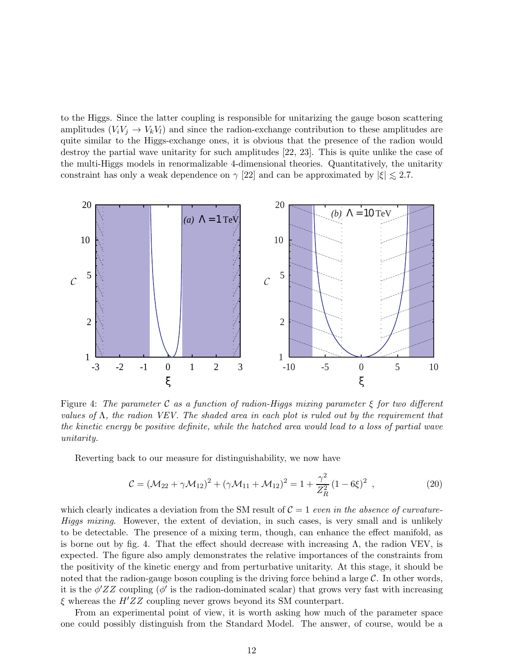to the Higgs. Since the latter coupling is responsible for unitarizing the gauge boson scattering amplitudes  $(V_iV_j \rightarrow V_kV_l)$  and since the radion-exchange contribution to these amplitudes are quite similar to the Higgs-exchange ones, it is obvious that the presence of the radion would destroy the partial wave unitarity for such amplitudes [22, 23]. This is quite unlike the case of the multi-Higgs models in renormalizable 4-dimensional theories. Quantitatively, the unitarity constraint has only a weak dependence on  $\gamma$  [22] and can be approximated by  $|\xi| \lesssim 2.7$ .



Figure 4: The parameter C as a function of radion-Higgs mixing parameter  $\xi$  for two different values of  $\Lambda$ , the radion VEV. The shaded area in each plot is ruled out by the requirement that the kinetic energy be positive definite, while the hatched area would lead to a loss of partial wave unitarity.

Reverting back to our measure for distinguishability, we now have

$$
C = (\mathcal{M}_{22} + \gamma \mathcal{M}_{12})^2 + (\gamma \mathcal{M}_{11} + \mathcal{M}_{12})^2 = 1 + \frac{\gamma^2}{Z_R^2} (1 - 6\xi)^2 , \qquad (20)
$$

which clearly indicates a deviation from the SM result of  $C = 1$  even in the absence of curvature-Higgs mixing. However, the extent of deviation, in such cases, is very small and is unlikely to be detectable. The presence of a mixing term, though, can enhance the effect manifold, as is borne out by fig. 4. That the effect should decrease with increasing  $\Lambda$ , the radion VEV, is expected. The figure also amply demonstrates the relative importances of the constraints from the positivity of the kinetic energy and from perturbative unitarity. At this stage, it should be noted that the radion-gauge boson coupling is the driving force behind a large  $\mathcal{C}$ . In other words, it is the  $\phi'ZZ$  coupling ( $\phi'$  is the radion-dominated scalar) that grows very fast with increasing  $\xi$  whereas the  $H'ZZ$  coupling never grows beyond its SM counterpart.

From an experimental point of view, it is worth asking how much of the parameter space one could possibly distinguish from the Standard Model. The answer, of course, would be a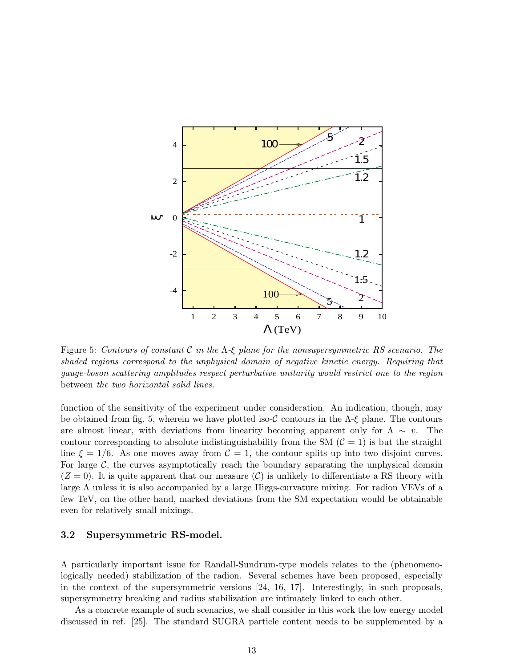

Figure 5: Contours of constant C in the  $\Lambda$ -ξ plane for the nonsupersymmetric RS scenario. The shaded regions correspond to the unphysical domain of negative kinetic energy. Requiring that gauge-boson scattering amplitudes respect perturbative unitarity would restrict one to the region between the two horizontal solid lines.

function of the sensitivity of the experiment under consideration. An indication, though, may be obtained from fig. 5, wherein we have plotted iso-C contours in the  $\Lambda$ -ξ plane. The contours are almost linear, with deviations from linearity becoming apparent only for  $\Lambda \sim v$ . The contour corresponding to absolute indistinguishability from the SM  $(\mathcal{C} = 1)$  is but the straight line  $\xi = 1/6$ . As one moves away from  $C = 1$ , the contour splits up into two disjoint curves. For large  $\mathcal{C}$ , the curves asymptotically reach the boundary separating the unphysical domain  $(Z = 0)$ . It is quite apparent that our measure  $(C)$  is unlikely to differentiate a RS theory with large Λ unless it is also accompanied by a large Higgs-curvature mixing. For radion VEVs of a few TeV, on the other hand, marked deviations from the SM expectation would be obtainable even for relatively small mixings.

### 3.2 Supersymmetric RS-model.

A particularly important issue for Randall-Sundrum-type models relates to the (phenomenologically needed) stabilization of the radion. Several schemes have been proposed, especially in the context of the supersymmetric versions [24, 16, 17]. Interestingly, in such proposals, supersymmetry breaking and radius stabilization are intimately linked to each other.

As a concrete example of such scenarios, we shall consider in this work the low energy model discussed in ref. [25]. The standard SUGRA particle content needs to be supplemented by a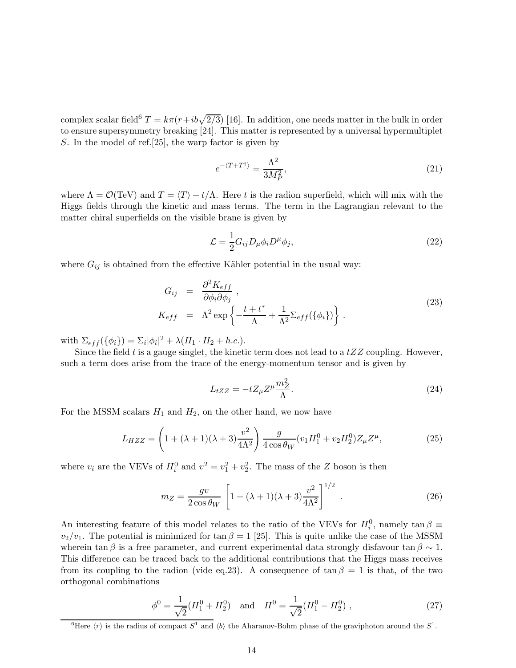complex scalar field<sup>6</sup>  $T = k\pi (r + ib\sqrt{2/3})$  [16]. In addition, one needs matter in the bulk in order to ensure supersymmetry breaking [24]. This matter is represented by a universal hypermultiplet S. In the model of ref.[25], the warp factor is given by

$$
e^{-\langle T+T^{\dagger}\rangle} = \frac{\Lambda^2}{3M_P^2},\tag{21}
$$

where  $\Lambda = \mathcal{O}(\text{TeV})$  and  $T = \langle T \rangle + t/\Lambda$ . Here t is the radion superfield, which will mix with the Higgs fields through the kinetic and mass terms. The term in the Lagrangian relevant to the matter chiral superfields on the visible brane is given by

$$
\mathcal{L} = \frac{1}{2} G_{ij} D_{\mu} \phi_i D^{\mu} \phi_j,
$$
\n(22)

where  $G_{ij}$  is obtained from the effective Kähler potential in the usual way:

$$
G_{ij} = \frac{\partial^2 K_{eff}}{\partial \phi_i \partial \phi_j},
$$
  
\n
$$
K_{eff} = \Lambda^2 \exp\left\{-\frac{t + t^*}{\Lambda} + \frac{1}{\Lambda^2} \Sigma_{eff}(\{\phi_i\})\right\}.
$$
\n(23)

with  $\Sigma_{eff}(\{\phi_i\}) = \Sigma_i |\phi_i|^2 + \lambda (H_1 \cdot H_2 + h.c.).$ 

Since the field  $t$  is a gauge singlet, the kinetic term does not lead to a  $tZZ$  coupling. However, such a term does arise from the trace of the energy-momentum tensor and is given by

$$
L_{tZZ} = -tZ_{\mu}Z^{\mu}\frac{m_Z^2}{\Lambda}.
$$
\n(24)

For the MSSM scalars  $H_1$  and  $H_2$ , on the other hand, we now have

$$
L_{HZZ} = \left(1 + (\lambda + 1)(\lambda + 3)\frac{v^2}{4\Lambda^2}\right) \frac{g}{4\cos\theta_W} (v_1 H_1^0 + v_2 H_2^0) Z_\mu Z^\mu,
$$
 (25)

where  $v_i$  are the VEVs of  $H_i^0$  and  $v^2 = v_1^2 + v_2^2$ . The mass of the Z boson is then

$$
m_Z = \frac{gv}{2\cos\theta_W} \left[ 1 + (\lambda + 1)(\lambda + 3)\frac{v^2}{4\Lambda^2} \right]^{1/2} .
$$
 (26)

An interesting feature of this model relates to the ratio of the VEVs for  $H_i^0$ , namely  $\tan \beta \equiv$  $v_2/v_1$ . The potential is minimized for tan  $\beta = 1$  [25]. This is quite unlike the case of the MSSM wherein tan  $\beta$  is a free parameter, and current experimental data strongly disfavour tan  $\beta \sim 1$ . This difference can be traced back to the additional contributions that the Higgs mass receives from its coupling to the radion (vide eq.23). A consequence of  $\tan \beta = 1$  is that, of the two orthogonal combinations

$$
\phi^0 = \frac{1}{\sqrt{2}} (H_1^0 + H_2^0) \quad \text{and} \quad H^0 = \frac{1}{\sqrt{2}} (H_1^0 - H_2^0) \tag{27}
$$

<sup>&</sup>lt;sup>6</sup>Here  $\langle r \rangle$  is the radius of compact  $S^1$  and  $\langle b \rangle$  the Aharanov-Bohm phase of the graviphoton around the  $S^1$ .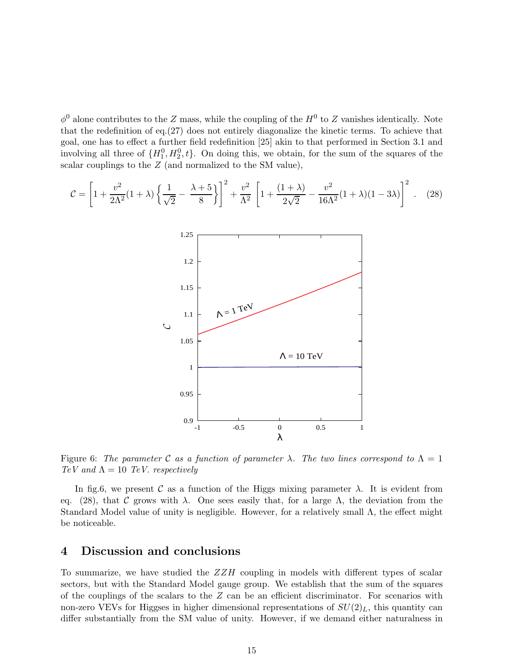$\phi^0$  alone contributes to the Z mass, while the coupling of the  $H^0$  to Z vanishes identically. Note that the redefinition of eq.(27) does not entirely diagonalize the kinetic terms. To achieve that goal, one has to effect a further field redefinition [25] akin to that performed in Section 3.1 and involving all three of  $\{H_1^0, H_2^0, t\}$ . On doing this, we obtain, for the sum of the squares of the scalar couplings to the Z (and normalized to the SM value),

$$
\mathcal{C} = \left[1 + \frac{v^2}{2\Lambda^2}(1+\lambda)\left\{\frac{1}{\sqrt{2}} - \frac{\lambda+5}{8}\right\}\right]^2 + \frac{v^2}{\Lambda^2}\left[1 + \frac{(1+\lambda)}{2\sqrt{2}} - \frac{v^2}{16\Lambda^2}(1+\lambda)(1-3\lambda)\right]^2. \tag{28}
$$



Figure 6: The parameter C as a function of parameter  $\lambda$ . The two lines correspond to  $\Lambda = 1$ TeV and  $\Lambda = 10$  TeV. respectively

In fig.6, we present C as a function of the Higgs mixing parameter  $\lambda$ . It is evident from eq. (28), that C grows with  $\lambda$ . One sees easily that, for a large  $\Lambda$ , the deviation from the Standard Model value of unity is negligible. However, for a relatively small  $\Lambda$ , the effect might be noticeable.

### 4 Discussion and conclusions

To summarize, we have studied the  $ZZH$  coupling in models with different types of scalar sectors, but with the Standard Model gauge group. We establish that the sum of the squares of the couplings of the scalars to the  $Z$  can be an efficient discriminator. For scenarios with non-zero VEVs for Higgses in higher dimensional representations of  $SU(2)_L$ , this quantity can differ substantially from the SM value of unity. However, if we demand either naturalness in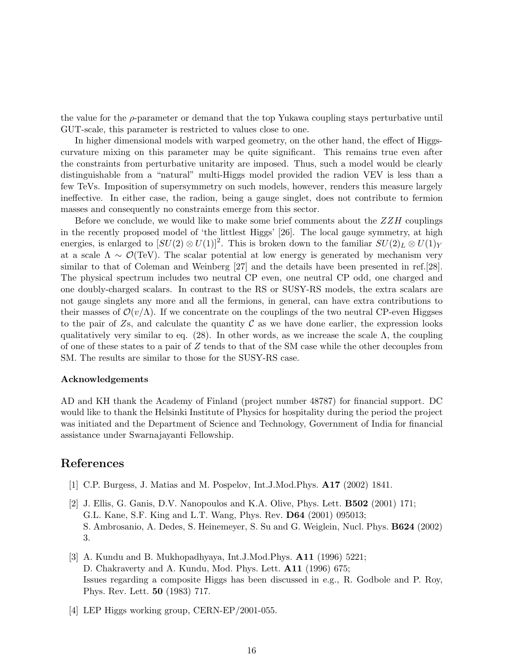the value for the  $\rho$ -parameter or demand that the top Yukawa coupling stays perturbative until GUT-scale, this parameter is restricted to values close to one.

In higher dimensional models with warped geometry, on the other hand, the effect of Higgscurvature mixing on this parameter may be quite significant. This remains true even after the constraints from perturbative unitarity are imposed. Thus, such a model would be clearly distinguishable from a "natural" multi-Higgs model provided the radion VEV is less than a few TeVs. Imposition of supersymmetry on such models, however, renders this measure largely ineffective. In either case, the radion, being a gauge singlet, does not contribute to fermion masses and consequently no constraints emerge from this sector.

Before we conclude, we would like to make some brief comments about the  $ZZH$  couplings in the recently proposed model of 'the littlest Higgs' [26]. The local gauge symmetry, at high energies, is enlarged to  $[SU(2) \otimes U(1)]^2$ . This is broken down to the familiar  $SU(2)_L \otimes U(1)_Y$ at a scale  $\Lambda \sim \mathcal{O}(\text{TeV})$ . The scalar potential at low energy is generated by mechanism very similar to that of Coleman and Weinberg [27] and the details have been presented in ref.[28]. The physical spectrum includes two neutral CP even, one neutral CP odd, one charged and one doubly-charged scalars. In contrast to the RS or SUSY-RS models, the extra scalars are not gauge singlets any more and all the fermions, in general, can have extra contributions to their masses of  $\mathcal{O}(v/\Lambda)$ . If we concentrate on the couplings of the two neutral CP-even Higgses to the pair of  $\mathbb{Z}_5$ , and calculate the quantity  $\mathcal C$  as we have done earlier, the expression looks qualitatively very similar to eq. (28). In other words, as we increase the scale  $\Lambda$ , the coupling of one of these states to a pair of  $Z$  tends to that of the SM case while the other decouples from SM. The results are similar to those for the SUSY-RS case.

### Acknowledgements

AD and KH thank the Academy of Finland (project number 48787) for financial support. DC would like to thank the Helsinki Institute of Physics for hospitality during the period the project was initiated and the Department of Science and Technology, Government of India for financial assistance under Swarnajayanti Fellowship.

# References

- [1] C.P. Burgess, J. Matias and M. Pospelov, Int.J.Mod.Phys. A17 (2002) 1841.
- [2] J. Ellis, G. Ganis, D.V. Nanopoulos and K.A. Olive, Phys. Lett. B502 (2001) 171; G.L. Kane, S.F. King and L.T. Wang, Phys. Rev. D64 (2001) 095013; S. Ambrosanio, A. Dedes, S. Heinemeyer, S. Su and G. Weiglein, Nucl. Phys. B624 (2002) 3.
- [3] A. Kundu and B. Mukhopadhyaya, Int.J.Mod.Phys. A11 (1996) 5221; D. Chakraverty and A. Kundu, Mod. Phys. Lett. A11 (1996) 675; Issues regarding a composite Higgs has been discussed in e.g., R. Godbole and P. Roy, Phys. Rev. Lett. 50 (1983) 717.
- [4] LEP Higgs working group, CERN-EP/2001-055.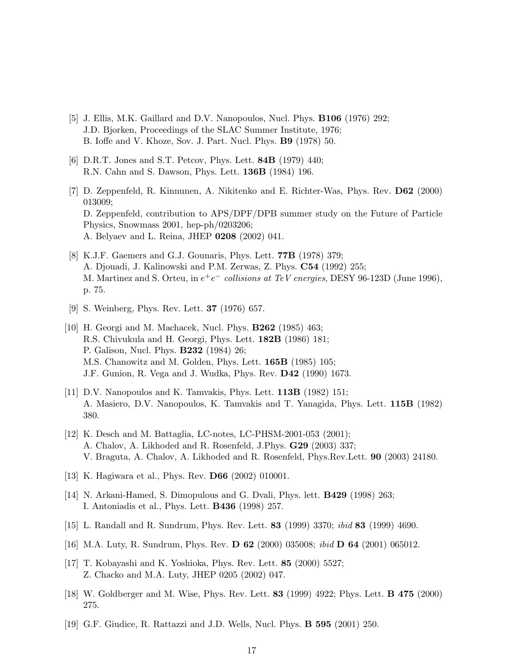- [5] J. Ellis, M.K. Gaillard and D.V. Nanopoulos, Nucl. Phys. B106 (1976) 292; J.D. Bjorken, Proceedings of the SLAC Summer Institute, 1976; B. Ioffe and V. Khoze, Sov. J. Part. Nucl. Phys. B9 (1978) 50.
- [6] D.R.T. Jones and S.T. Petcov, Phys. Lett. **84B** (1979) 440; R.N. Cahn and S. Dawson, Phys. Lett. 136B (1984) 196.
- [7] D. Zeppenfeld, R. Kinnunen, A. Nikitenko and E. Richter-Was, Phys. Rev. D62 (2000) 013009; D. Zeppenfeld, contribution to APS/DPF/DPB summer study on the Future of Particle Physics, Snowmass 2001, hep-ph/0203206; A. Belyaev and L. Reina, JHEP 0208 (2002) 041.
- [8] K.J.F. Gaemers and G.J. Gounaris, Phys. Lett. 77B (1978) 379; A. Djouadi, J. Kalinowski and P.M. Zerwas, Z. Phys. C54 (1992) 255; M. Martinez and S. Orteu, in  $e^+e^-$  collisions at TeV energies, DESY 96-123D (June 1996), p. 75.
- [9] S. Weinberg, Phys. Rev. Lett. 37 (1976) 657.
- [10] H. Georgi and M. Machacek, Nucl. Phys. B262 (1985) 463; R.S. Chivukula and H. Georgi, Phys. Lett. 182B (1986) 181; P. Galison, Nucl. Phys. B232 (1984) 26; M.S. Chanowitz and M. Golden, Phys. Lett. 165B (1985) 105; J.F. Gunion, R. Vega and J. Wudka, Phys. Rev. D42 (1990) 1673.
- [11] D.V. Nanopoulos and K. Tamvakis, Phys. Lett. **113B** (1982) 151; A. Masiero, D.V. Nanopoulos, K. Tamvakis and T. Yanagida, Phys. Lett. 115B (1982) 380.
- [12] K. Desch and M. Battaglia, LC-notes, LC-PHSM-2001-053 (2001); A. Chalov, A. Likhoded and R. Rosenfeld, J.Phys. G29 (2003) 337; V. Braguta, A. Chalov, A. Likhoded and R. Rosenfeld, Phys.Rev.Lett. 90 (2003) 24180.
- [13] K. Hagiwara et al., Phys. Rev. D66 (2002) 010001.
- [14] N. Arkani-Hamed, S. Dimopulous and G. Dvali, Phys. lett. B429 (1998) 263; I. Antoniadis et al., Phys. Lett. B436 (1998) 257.
- [15] L. Randall and R. Sundrum, Phys. Rev. Lett. 83 (1999) 3370; ibid 83 (1999) 4690.
- [16] M.A. Luty, R. Sundrum, Phys. Rev. D 62 (2000) 035008; ibid D 64 (2001) 065012.
- [17] T. Kobayashi and K. Yoshioka, Phys. Rev. Lett. 85 (2000) 5527; Z. Chacko and M.A. Luty, JHEP 0205 (2002) 047.
- [18] W. Goldberger and M. Wise, Phys. Rev. Lett. 83 (1999) 4922; Phys. Lett. B 475 (2000) 275.
- [19] G.F. Giudice, R. Rattazzi and J.D. Wells, Nucl. Phys. B 595 (2001) 250.